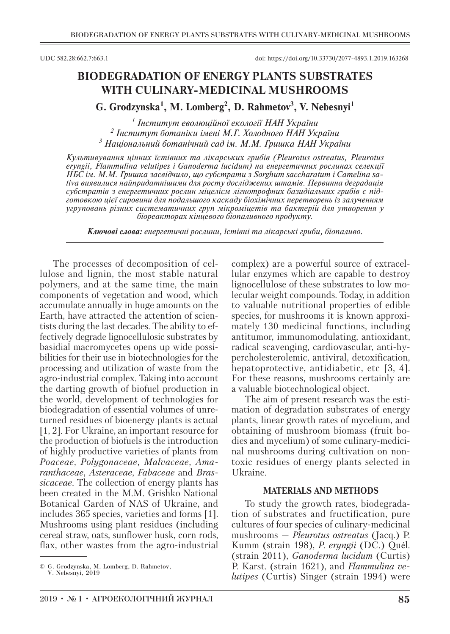# **BIODEGRADATION OF ENERGY PLANTS SUBSTRATES WITH CULINARY-MEDICINAL MUSHROOMS**

## **G. Grodzynska<sup>1</sup> , M. Lomberg<sup>2</sup> , D. Rahmetov<sup>3</sup> , V. Nebesnyi<sup>1</sup>**

*1 Інститут еволюційної екології НАН України 2 Інститут ботаніки імені М.Г. Холодного НАН України 3 Національний ботанічний сад ім. М.М. Гришка НАН України*

*Культивування цінних їстівних та лікарських грибів (Pleurotus ostreatus, Pleurotus eryngii, Flammulina velutipes i Ganoderma lucidum) на енергетичних рослинах селекції НБС ім. М.М. Гришка засвідчило, що субстрати з Sorghum saccharatum і Сamelina sativa виявилися найпридатнішими для росту досліджених штамів. Первинна деградація субстратів з енергетичних рослин міцелієм лігнотрофних базидіальних грибів є підготовкою цієї сировини для подальшого каскаду біохімічних перетворень із залученням угруповань різних систематичних груп мікроміцетів та бактерій для утворення у біореакторах кінцевого біопаливного продукту.*

*Ключові слова: енергетичні рослини, їстівні та лікарські гриби, біопаливо.*

The processes of decomposition of cellulose and lignin, the most stable natural polymers, and at the same time, the main components of vegetation and wood, which accumulate annually in huge amounts on the Earth, have attracted the attention of scientists during the last decades. The ability to effectively degrade lignocellulosic substrates by basidial macromycetes opens up wide possibilities for their use in biotechnologies for the processing and utilization of waste from the agro-industrial complex. Taking into account the darting growth of biofuel production in the world, development of technologies for biodegradation of essential volumes of unreturned residues of bioenergy plants is actual [1, 2]. For Ukraine, an important resource for the production of biofuels is the introduction of highly productive varieties of plants from *Poaceae*, *Polygonaceae*, *Malvaceae*, *Amaranthaceae*, *Asteraceae*, *Fabaceae* and *Brassicaceae*. The collection of energy plants has been created in the M.M. Grishko National Botanical Garden of NAS of Ukraine, and includes 365 species, varieties and forms [1]. Mushrooms using plant residues (including cereal straw, oats, sunflower husk, corn rods, flax, other wastes from the agro-industrial

complex) are a powerful source of extracellular enzymes which are capable to destroy lignocellulose of these substrates to low molecular weight compounds. Today, in addition to valuable nutritional properties of edible species, for mushrooms it is known approximately 130 medicinal functions, including antitumor, immunomodulating, antioxidant, radical scavenging, cardiovascular, anti-hypercholesterolemic, antiviral, detoxification, hepatoprotective, antidiabetic, etc [3, 4]. For these reasons, mushrooms certainly are a valuable biotechnological object.

The aim of present research was the estimation of degradation substrates of energy plants, linear growth rates of mycelium, and obtaining of mushroom biomass (fruit bodies and mycelium) of some culinary-medicinal mushrooms during cultivation on nontoxic residues of energy plants selected in Ukraine.

#### **MATERIALS AND METHODS**

To study the growth rates, biodegradation of substrates and fructification, pure cultures of four species of culinary-medicinal mushrooms — *Pleurotus ostreatus* (Jacq.) P. Kumm (strain 198), *P. eryngii* (DC.) Quél. (strain 2011), *Ganoderma lucidum* (Curtis) P. Karst. (strain 1621), and *Flammulina velutipes* (Curtis) Singer (strain 1994) were

<sup>©</sup> G. Grodzynska, M. Lomberg, D. Rahmetov,

V. Nebesnyi, 2019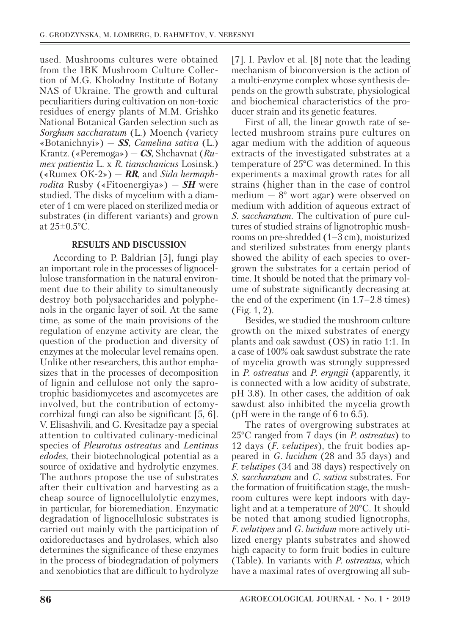used. Mushrooms cultures were obtained from the IBK Mushroom Culture Collection of M.G. Kholodny Institute of Botany NAS of Ukraine. The growth and cultural peculiaritiers during cultivation on non-toxic residues of energy plants of M.M. Grishko National Botanical Garden selection such as *Sorghum saccharatum* (L.) Moench (variety «Botanichnyi») — *SS*, *Сamelina sativa* (L.) Krantz. («Peremoga») — *CS*, Shchavnat (*Rumex patientia* L. x *R. tianschanicus* Losinsk.) («Rumex ОК-2») — *RR*, and *Sida hermaphrodita* Rusby («Fitoenergiya») — *SH* were studied. The disks of mycelium with a diameter of 1 cm were placed on sterilized media or substrates (in different variants) and grown at  $25\pm0.5^{\circ}$ C.

## **RESULTS AND DISCUSSION**

According to P. Baldrian [5], fungi play an important role in the processes of lignocellulose transformation in the natural environment due to their ability to simultaneously destroy both polysaccharides and polyphenols in the organic layer of soil. At the same time, as some of the main provisions of the regulation of enzyme activity are clear, the question of the production and diversity of enzymes at the molecular level remains open. Unlike other researchers, this author emphasizes that in the processes of decomposition of lignin and cellulose not only the saprotrophic basidiomycetes and ascomycetes are involved, but the contribution of ectomycorrhizal fungi can also be significant [5, 6]. V. Elisashvili, and G. Kvesitadze pay a special attention to cultivated culinary-medicinal species of *Pleurotus ostreatus* and *Lentinus edodes*, their biotechnological potential as a source of oxidative and hydrolytic enzymes. The authors propose the use of substrates after their cultivation and harvesting as a cheap source of lignocellulolytic enzymes, in particular, for bioremediation. Enzymatic degradation of lignocellulosic substrates is carried out mainly with the participation of oxidoreductases and hydrolases, which also determines the significance of these enzymes in the process of biodegradation of polymers and xenobiotics that are difficult to hydrolyze

[7]. I. Pavlov et al. [8] note that the leading mechanism of bioconversion is the action of a multi-enzyme complex whose synthesis depends on the growth substrate, physiological and biochemical characteristics of the producer strain and its genetic features.

First of all, the linear growth rate of selected mushroom strains pure cultures on agar medium with the addition of aqueous extracts of the investigated substrates at a temperature of 25°C was determined. In this experiments a maximal growth rates for all strains (higher than in the case of control medium  $-8^{\circ}$  wort agar) were observed on medium with addition of aqueous extract of *S. saccharatum.* The cultivation of pure cultures of studied strains of lignotrophic mushrooms on pre-shredded (1–3 cm), moisturized and sterilized substrates from energy plants showed the ability of each species to overgrown the substrates for a certain period of time. It should be noted that the primary volume of substrate significantly decreasing at the end of the experiment (in 1.7–2.8 times) (Fig. 1, 2).

Besides, we studied the mushroom culture growth on the mixed substrates of energy plants and oak sawdust (OS) in ratio 1:1. In a case of 100% oak sawdust substrate the rate of mycelia growth was strongly suppressed in *P. ostreatus* and *P. eryngii* (apparently, it is connected with a low acidity of substrate, pH 3.8). In other cases, the addition of oak sawdust also inhibited the mycelia growth (pH were in the range of 6 to 6.5).

The rates of overgrowing substrates at 25°C ranged from 7 days (in *P. ostreatus*) to 12 days (*F. velutipes*), the fruit bodies appeared in *G. lucidum* (28 and 35 days) and *F. velutipes* (34 and 38 days) respectively on *S. saccharatum* and *С. sativa* substrates. For the formation of fruitification stage, the mushroom cultures were kept indoors with daylight and at a temperature of 20°C. It should be noted that among studied lignotrophs, *F. velutipes* and *G. lucidum* more actively utilized energy plants substrates and showed high capacity to form fruit bodies in culture (Table). In variants with *P. ostreatus*, which have a maximal rates of overgrowing all sub-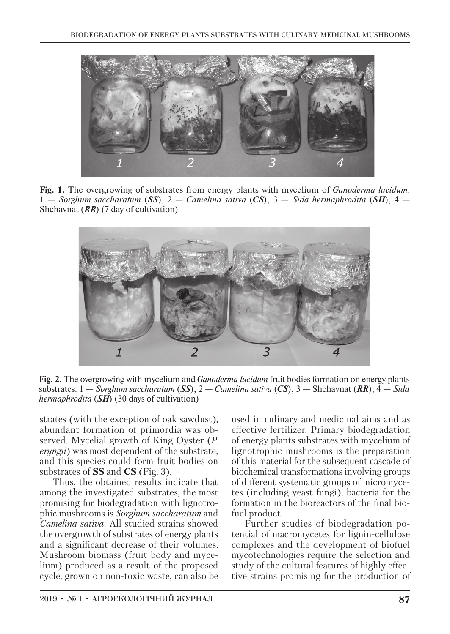

**Fig. 1.** The overgrowing of substrates from energy plants with mycelium of *Ganoderma lucidum*: 1 — *Sorghum saccharatum* (*SS*), 2 — *Сamelina sativa* (*CS*), 3 — *Sida hermaphrodita* (*SH*), 4 — Shchavnat (*RR*) (7 day of cultivation)



**Fig. 2.** The overgrowing with mycelium and *Ganoderma lucidum* fruit bodies formation on energy plants substrates: 1 — *Sorghum saccharatum* (*SS*), 2 — *Сamelina sativa* (*CS*), 3 — Shchavnat (*RR*), 4 — *Sida hermaphrodita* (*SH*) (30 days of cultivation)

strates (with the exception of oak sawdust), abundant formation of primordia was observed. Mycelial growth of King Oyster (*P. eryngii*) was most dependent of the substrate, and this species could form fruit bodies on substrates of **SS** and **CS** (Fig. 3).

Thus, the obtained results indicate that among the investigated substrates, the most promising for biodegradation with lignotrophic mushrooms is *Sorghum saccharatum* and *Сamelina sativa*. All studied strains showed the overgrowth of substrates of energy plants and a significant decrease of their volumes. Mushroom biomass (fruit body and mycelium) produced as a result of the proposed cycle, grown on non-toxic waste, can also be

used in culinary and medicinal aims and as effective fertilizer. Primary biodegradation of energy plants substrates with mycelium of lignotrophic mushrooms is the preparation of this material for the subsequent cascade of biochemical transformations involving groups of different systematic groups of micromycetes (including yeast fungi), bacteria for the formation in the bioreactors of the final biofuel product.

Further studies of biodegradation potential of macromycetes for lignin-cellulose complexes and the development of biofuel mycotechnologies require the selection and study of the cultural features of highly effective strains promising for the production of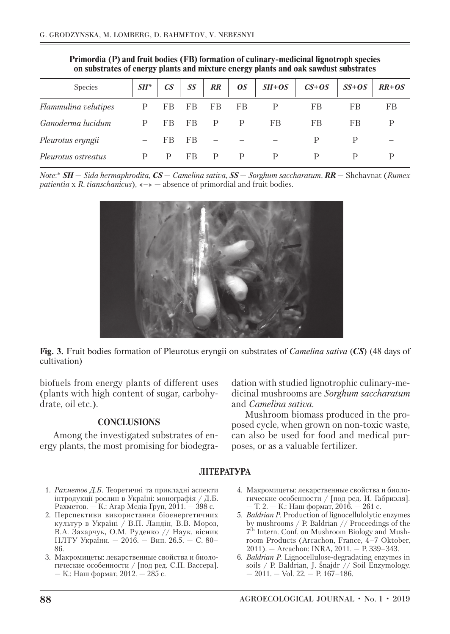| <b>Species</b>       | $SH^*$ | $\mathbb{C}S$ | SS | RR | <b>0S</b> | $SH+OS$ | $CS + OS$ | $SS+OS$ | $RR + OS$ |
|----------------------|--------|---------------|----|----|-----------|---------|-----------|---------|-----------|
| Flammulina velutipes | P      | FB            | FB | FB | FB        | P       | FB        | FB      | FB        |
| Ganoderma lucidum    | P      | FB            | FB | P  | P         | FB      | FB        | FB      | D         |
| Pleurotus eryngii    |        | FB            | FB |    |           |         | P         | P       |           |
| Pleurotus ostreatus  | D      | P             | FB | P  | P         | P       | P         | P       | D         |

**Primordia (P) and fruit bodies (FB) formation of culinary-medicinal lignotroph species on substrates of energy plants and mixture energy plants and oak sawdust substrates**

*Note*:\* *SH* — *Sida hermaphrodita*, *CS* — *Сamelina sativa*, *SS* — *Sorghum saccharatum*, *RR* — Shchavnat (*Rumex patientia* x *R. tianschanicus*), «–» — absence of primordial and fruit bodies.



**Fig. 3.** Fruit bodies formation of Pleurotus eryngii on substrates of *Сamelina sativa* (*CS*) (48 days of cultivation)

biofuels from energy plants of different uses (plants with high content of sugar, carbohydrate, oil etc.).

### **CONCLUSIONS**

Among the investigated substrates of energy plants, the most promising for biodegradation with studied lignotrophic culinary-medicinal mushrooms are *Sorghum saccharatum* and *Сamelina sativa*.

Mushroom biomass produced in the proposed cycle, when grown on non-toxic waste, can also be used for food and medical purposes, or as a valuable fertilizer.

### **ЛІТЕРАТУРА**

- 1. *Рахметов Д.Б*. Теоретичні та прикладні аспекти інтродукції рослин в Україні: монографія / Д.Б. Рахметов. — К.: Агар Медіа Груп, 2011. — 398 с.
- 2. Перспективи використання біоенергетичних культур в Україні / В.П. Ландін, В.В. Мороз, В.А. Захарчук, О.М. Руденко // Наук. вісник НЛТУ України. — 2016. — Вип. 26.5. — С. 80– 86.
- 3. Макромицеты: лекарственные свойства и биологические особенности / [под ред. С.П. Васcерa]. — К.: Наш формат, 2012. — 285 с.
- 4. Макромицеты: лекарственные свойства и биологические особенности / [под ред. И. Габриэля]. — Т. 2. — К.: Наш формат, 2016. — 261 с.
- 5. *Baldrian P.* Production of lignocellulolytic enzymes by mushrooms / P. Baldrian // Proceedings of the 7th Intern. Conf. on Mushroom Biology and Mushroom Products (Arcachon, France, 4–7 Oktober, 2011). — Arcachon: INRA, 2011. — P. 339–343.
- 6. *Baldrian P.* Lignocellulose-degradating enzymes in soils / P. Baldrian, J. Šnajdr // Soil Enzymology.  $-2011 -$  Vol. 22.  $-$  P. 167-186.